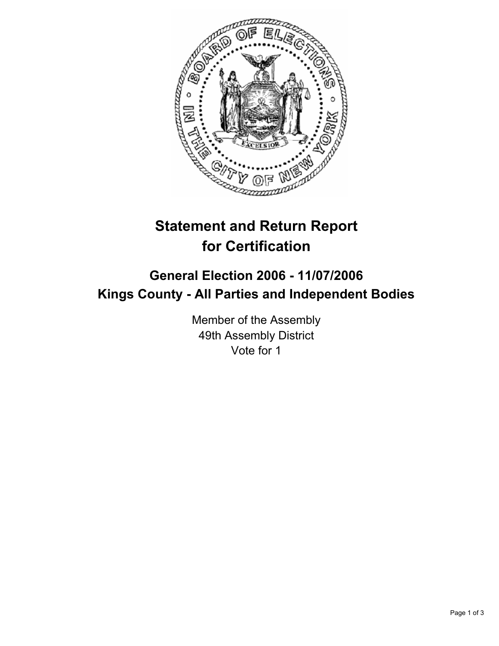

## **Statement and Return Report for Certification**

## **General Election 2006 - 11/07/2006 Kings County - All Parties and Independent Bodies**

Member of the Assembly 49th Assembly District Vote for 1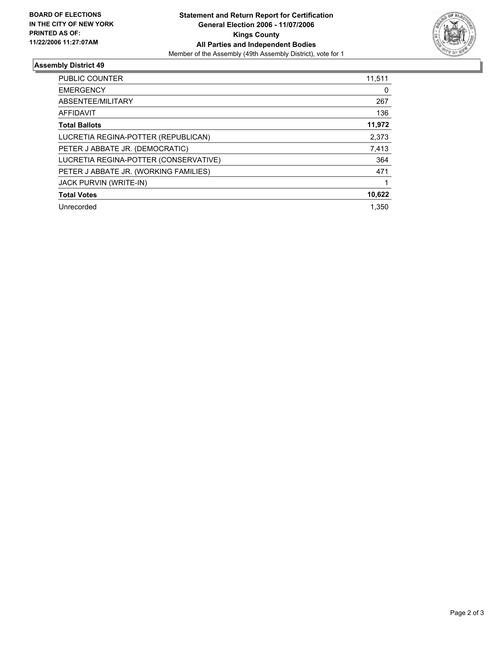

## **Assembly District 49**

| PUBLIC COUNTER                        | 11,511 |
|---------------------------------------|--------|
| <b>EMERGENCY</b>                      | 0      |
| ABSENTEE/MILITARY                     | 267    |
| AFFIDAVIT                             | 136    |
| <b>Total Ballots</b>                  | 11,972 |
| LUCRETIA REGINA-POTTER (REPUBLICAN)   | 2,373  |
| PETER J ABBATE JR. (DEMOCRATIC)       | 7,413  |
| LUCRETIA REGINA-POTTER (CONSERVATIVE) | 364    |
| PETER J ABBATE JR. (WORKING FAMILIES) | 471    |
| <b>JACK PURVIN (WRITE-IN)</b>         |        |
| <b>Total Votes</b>                    | 10,622 |
| Unrecorded                            | 1.350  |